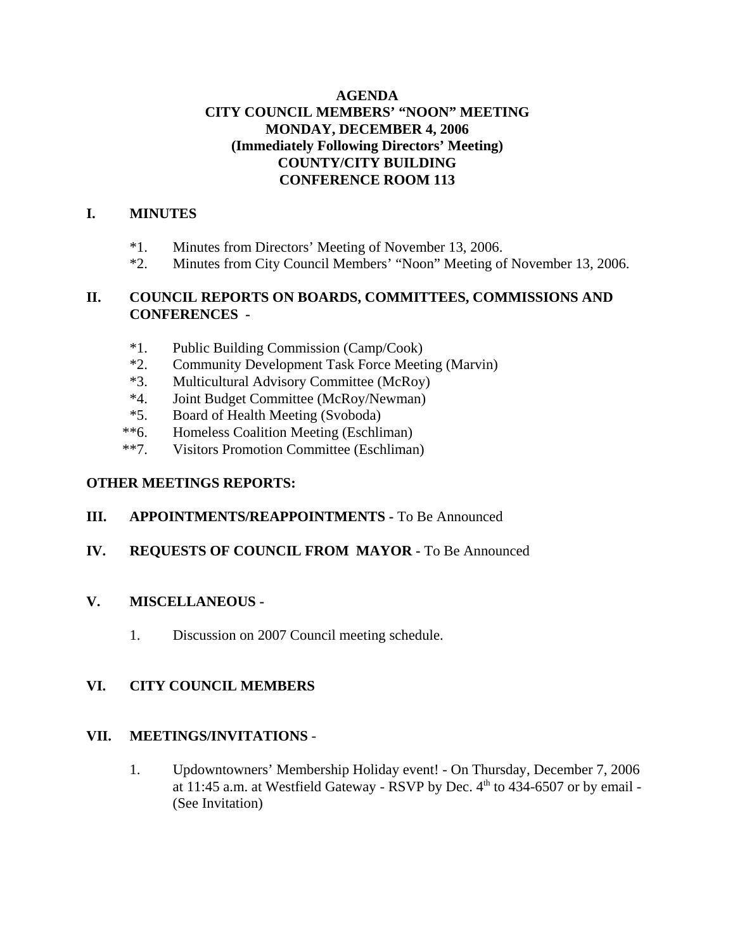## **AGENDA CITY COUNCIL MEMBERS' "NOON" MEETING MONDAY, DECEMBER 4, 2006 (Immediately Following Directors' Meeting) COUNTY/CITY BUILDING CONFERENCE ROOM 113**

## **I. MINUTES**

- \*1. Minutes from Directors' Meeting of November 13, 2006.
- \*2. Minutes from City Council Members' "Noon" Meeting of November 13, 2006.

## **II. COUNCIL REPORTS ON BOARDS, COMMITTEES, COMMISSIONS AND CONFERENCES -**

- \*1. Public Building Commission (Camp/Cook)
- \*2. Community Development Task Force Meeting (Marvin)
- \*3. Multicultural Advisory Committee (McRoy)
- \*4. Joint Budget Committee (McRoy/Newman)
- \*5. Board of Health Meeting (Svoboda)
- \*\*6. Homeless Coalition Meeting (Eschliman)
- \*\*7. Visitors Promotion Committee (Eschliman)

## **OTHER MEETINGS REPORTS:**

## **III.** APPOINTMENTS/REAPPOINTMENTS - To Be Announced

## **IV. REQUESTS OF COUNCIL FROM MAYOR -** To Be Announced

## **V. MISCELLANEOUS -**

1. Discussion on 2007 Council meeting schedule.

## **VI. CITY COUNCIL MEMBERS**

## **VII. MEETINGS/INVITATIONS** -

1. Updowntowners' Membership Holiday event! - On Thursday, December 7, 2006 at 11:45 a.m. at Westfield Gateway - RSVP by Dec.  $4<sup>th</sup>$  to 434-6507 or by email -(See Invitation)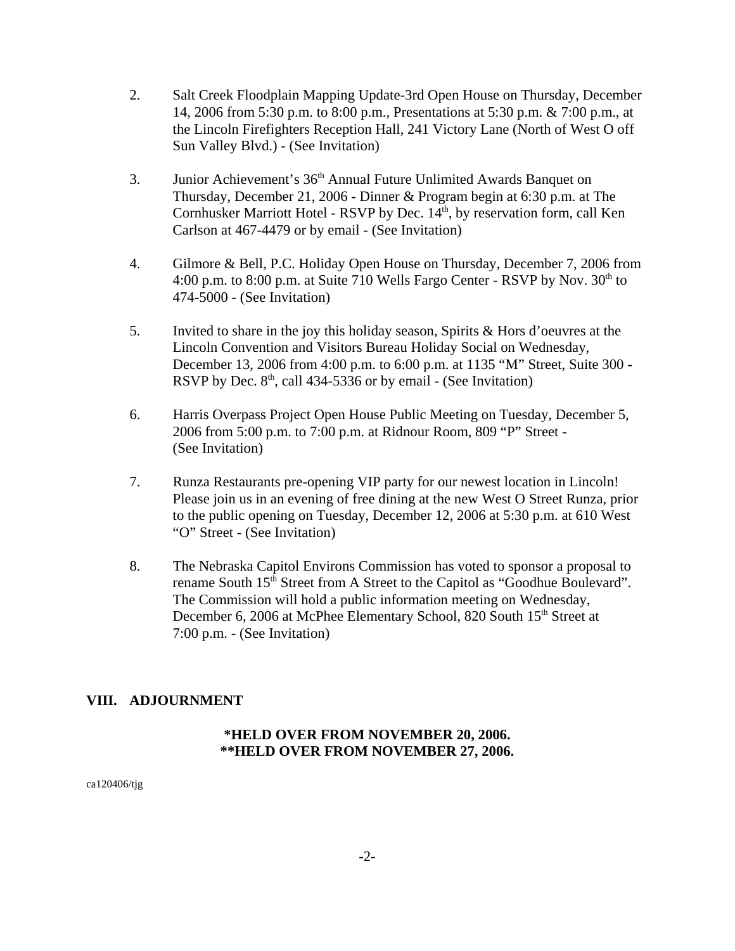- 2. Salt Creek Floodplain Mapping Update-3rd Open House on Thursday, December 14, 2006 from 5:30 p.m. to 8:00 p.m., Presentations at 5:30 p.m. & 7:00 p.m., at the Lincoln Firefighters Reception Hall, 241 Victory Lane (North of West O off Sun Valley Blvd.) - (See Invitation)
- 3. Junior Achievement's 36<sup>th</sup> Annual Future Unlimited Awards Banquet on Thursday, December 21, 2006 - Dinner & Program begin at 6:30 p.m. at The Cornhusker Marriott Hotel - RSVP by Dec. 14<sup>th</sup>, by reservation form, call Ken Carlson at 467-4479 or by email - (See Invitation)
- 4. Gilmore & Bell, P.C. Holiday Open House on Thursday, December 7, 2006 from 4:00 p.m. to 8:00 p.m. at Suite 710 Wells Fargo Center - RSVP by Nov. 30<sup>th</sup> to 474-5000 - (See Invitation)
- 5. Invited to share in the joy this holiday season, Spirits & Hors d'oeuvres at the Lincoln Convention and Visitors Bureau Holiday Social on Wednesday, December 13, 2006 from 4:00 p.m. to 6:00 p.m. at 1135 "M" Street, Suite 300 - RSVP by Dec.  $8<sup>th</sup>$ , call 434-5336 or by email - (See Invitation)
- 6. Harris Overpass Project Open House Public Meeting on Tuesday, December 5, 2006 from 5:00 p.m. to 7:00 p.m. at Ridnour Room, 809 "P" Street - (See Invitation)
- 7. Runza Restaurants pre-opening VIP party for our newest location in Lincoln! Please join us in an evening of free dining at the new West O Street Runza, prior to the public opening on Tuesday, December 12, 2006 at 5:30 p.m. at 610 West "O" Street - (See Invitation)
- 8. The Nebraska Capitol Environs Commission has voted to sponsor a proposal to rename South 15<sup>th</sup> Street from A Street to the Capitol as "Goodhue Boulevard". The Commission will hold a public information meeting on Wednesday, December 6, 2006 at McPhee Elementary School, 820 South 15<sup>th</sup> Street at 7:00 p.m. - (See Invitation)

## **VIII. ADJOURNMENT**

## **\*HELD OVER FROM NOVEMBER 20, 2006. \*\*HELD OVER FROM NOVEMBER 27, 2006.**

ca120406/tjg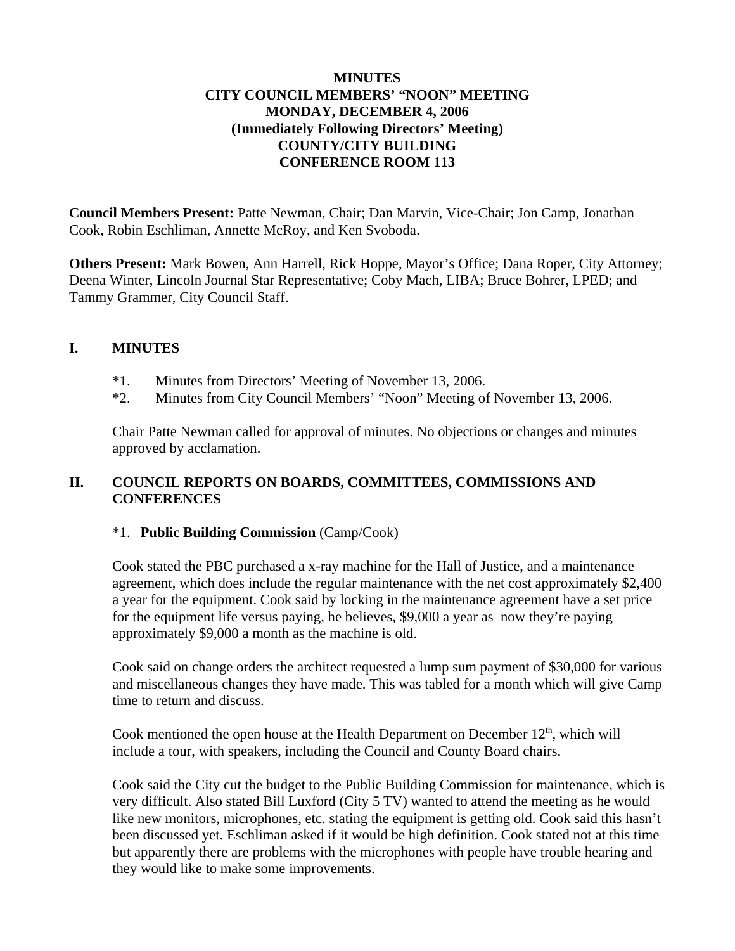### **MINUTES CITY COUNCIL MEMBERS' "NOON" MEETING MONDAY, DECEMBER 4, 2006 (Immediately Following Directors' Meeting) COUNTY/CITY BUILDING CONFERENCE ROOM 113**

**Council Members Present:** Patte Newman, Chair; Dan Marvin, Vice-Chair; Jon Camp, Jonathan Cook, Robin Eschliman, Annette McRoy, and Ken Svoboda.

**Others Present:** Mark Bowen, Ann Harrell, Rick Hoppe, Mayor's Office; Dana Roper, City Attorney; Deena Winter, Lincoln Journal Star Representative; Coby Mach, LIBA; Bruce Bohrer, LPED; and Tammy Grammer, City Council Staff.

## **I. MINUTES**

- \*1. Minutes from Directors' Meeting of November 13, 2006.
- \*2. Minutes from City Council Members' "Noon" Meeting of November 13, 2006.

Chair Patte Newman called for approval of minutes. No objections or changes and minutes approved by acclamation.

## **II. COUNCIL REPORTS ON BOARDS, COMMITTEES, COMMISSIONS AND CONFERENCES**

#### \*1. **Public Building Commission** (Camp/Cook)

Cook stated the PBC purchased a x-ray machine for the Hall of Justice, and a maintenance agreement, which does include the regular maintenance with the net cost approximately \$2,400 a year for the equipment. Cook said by locking in the maintenance agreement have a set price for the equipment life versus paying, he believes, \$9,000 a year as now they're paying approximately \$9,000 a month as the machine is old.

Cook said on change orders the architect requested a lump sum payment of \$30,000 for various and miscellaneous changes they have made. This was tabled for a month which will give Camp time to return and discuss.

Cook mentioned the open house at the Health Department on December  $12<sup>th</sup>$ , which will include a tour, with speakers, including the Council and County Board chairs.

Cook said the City cut the budget to the Public Building Commission for maintenance, which is very difficult. Also stated Bill Luxford (City 5 TV) wanted to attend the meeting as he would like new monitors, microphones, etc. stating the equipment is getting old. Cook said this hasn't been discussed yet. Eschliman asked if it would be high definition. Cook stated not at this time but apparently there are problems with the microphones with people have trouble hearing and they would like to make some improvements.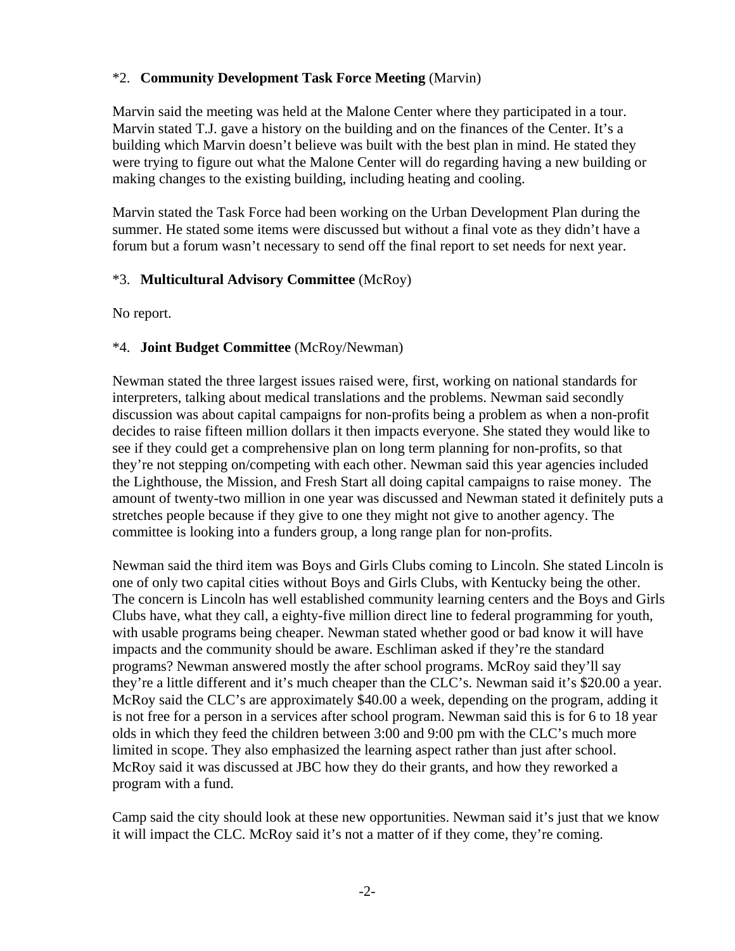## \*2. **Community Development Task Force Meeting** (Marvin)

Marvin said the meeting was held at the Malone Center where they participated in a tour. Marvin stated T.J. gave a history on the building and on the finances of the Center. It's a building which Marvin doesn't believe was built with the best plan in mind. He stated they were trying to figure out what the Malone Center will do regarding having a new building or making changes to the existing building, including heating and cooling.

Marvin stated the Task Force had been working on the Urban Development Plan during the summer. He stated some items were discussed but without a final vote as they didn't have a forum but a forum wasn't necessary to send off the final report to set needs for next year.

## \*3. **Multicultural Advisory Committee** (McRoy)

No report.

## \*4. **Joint Budget Committee** (McRoy/Newman)

Newman stated the three largest issues raised were, first, working on national standards for interpreters, talking about medical translations and the problems. Newman said secondly discussion was about capital campaigns for non-profits being a problem as when a non-profit decides to raise fifteen million dollars it then impacts everyone. She stated they would like to see if they could get a comprehensive plan on long term planning for non-profits, so that they're not stepping on/competing with each other. Newman said this year agencies included the Lighthouse, the Mission, and Fresh Start all doing capital campaigns to raise money. The amount of twenty-two million in one year was discussed and Newman stated it definitely puts a stretches people because if they give to one they might not give to another agency. The committee is looking into a funders group, a long range plan for non-profits.

Newman said the third item was Boys and Girls Clubs coming to Lincoln. She stated Lincoln is one of only two capital cities without Boys and Girls Clubs, with Kentucky being the other. The concern is Lincoln has well established community learning centers and the Boys and Girls Clubs have, what they call, a eighty-five million direct line to federal programming for youth, with usable programs being cheaper. Newman stated whether good or bad know it will have impacts and the community should be aware. Eschliman asked if they're the standard programs? Newman answered mostly the after school programs. McRoy said they'll say they're a little different and it's much cheaper than the CLC's. Newman said it's \$20.00 a year. McRoy said the CLC's are approximately \$40.00 a week, depending on the program, adding it is not free for a person in a services after school program. Newman said this is for 6 to 18 year olds in which they feed the children between 3:00 and 9:00 pm with the CLC's much more limited in scope. They also emphasized the learning aspect rather than just after school. McRoy said it was discussed at JBC how they do their grants, and how they reworked a program with a fund.

Camp said the city should look at these new opportunities. Newman said it's just that we know it will impact the CLC. McRoy said it's not a matter of if they come, they're coming.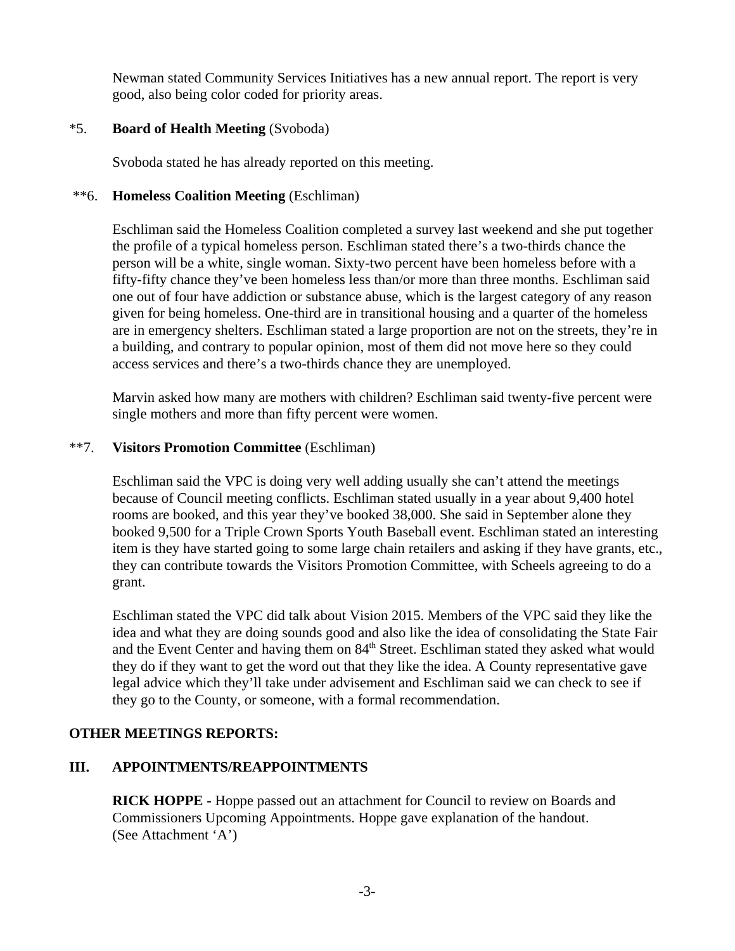Newman stated Community Services Initiatives has a new annual report. The report is very good, also being color coded for priority areas.

### \*5. **Board of Health Meeting** (Svoboda)

Svoboda stated he has already reported on this meeting.

### \*\*6. **Homeless Coalition Meeting** (Eschliman)

Eschliman said the Homeless Coalition completed a survey last weekend and she put together the profile of a typical homeless person. Eschliman stated there's a two-thirds chance the person will be a white, single woman. Sixty-two percent have been homeless before with a fifty-fifty chance they've been homeless less than/or more than three months. Eschliman said one out of four have addiction or substance abuse, which is the largest category of any reason given for being homeless. One-third are in transitional housing and a quarter of the homeless are in emergency shelters. Eschliman stated a large proportion are not on the streets, they're in a building, and contrary to popular opinion, most of them did not move here so they could access services and there's a two-thirds chance they are unemployed.

Marvin asked how many are mothers with children? Eschliman said twenty-five percent were single mothers and more than fifty percent were women.

### \*\*7. **Visitors Promotion Committee** (Eschliman)

Eschliman said the VPC is doing very well adding usually she can't attend the meetings because of Council meeting conflicts. Eschliman stated usually in a year about 9,400 hotel rooms are booked, and this year they've booked 38,000. She said in September alone they booked 9,500 for a Triple Crown Sports Youth Baseball event. Eschliman stated an interesting item is they have started going to some large chain retailers and asking if they have grants, etc., they can contribute towards the Visitors Promotion Committee, with Scheels agreeing to do a grant.

Eschliman stated the VPC did talk about Vision 2015. Members of the VPC said they like the idea and what they are doing sounds good and also like the idea of consolidating the State Fair and the Event Center and having them on 84<sup>th</sup> Street. Eschliman stated they asked what would they do if they want to get the word out that they like the idea. A County representative gave legal advice which they'll take under advisement and Eschliman said we can check to see if they go to the County, or someone, with a formal recommendation.

## **OTHER MEETINGS REPORTS:**

## **III. APPOINTMENTS/REAPPOINTMENTS**

**RICK HOPPE -** Hoppe passed out an attachment for Council to review on Boards and Commissioners Upcoming Appointments. Hoppe gave explanation of the handout. (See Attachment 'A')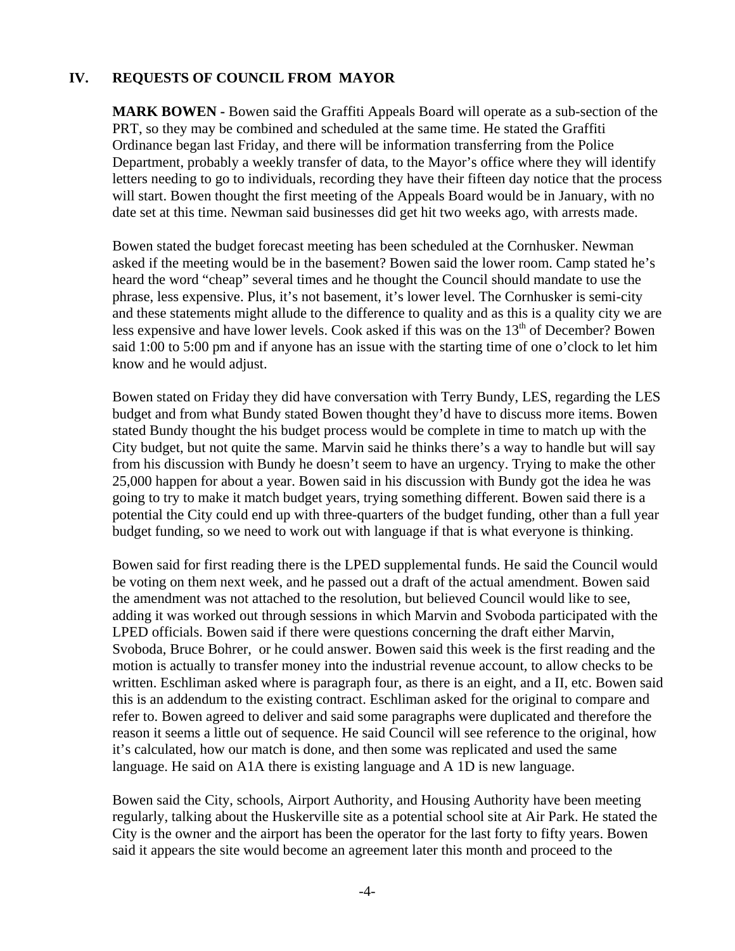### **IV. REQUESTS OF COUNCIL FROM MAYOR**

**MARK BOWEN -** Bowen said the Graffiti Appeals Board will operate as a sub-section of the PRT, so they may be combined and scheduled at the same time. He stated the Graffiti Ordinance began last Friday, and there will be information transferring from the Police Department, probably a weekly transfer of data, to the Mayor's office where they will identify letters needing to go to individuals, recording they have their fifteen day notice that the process will start. Bowen thought the first meeting of the Appeals Board would be in January, with no date set at this time. Newman said businesses did get hit two weeks ago, with arrests made.

Bowen stated the budget forecast meeting has been scheduled at the Cornhusker. Newman asked if the meeting would be in the basement? Bowen said the lower room. Camp stated he's heard the word "cheap" several times and he thought the Council should mandate to use the phrase, less expensive. Plus, it's not basement, it's lower level. The Cornhusker is semi-city and these statements might allude to the difference to quality and as this is a quality city we are less expensive and have lower levels. Cook asked if this was on the  $13<sup>th</sup>$  of December? Bowen said 1:00 to 5:00 pm and if anyone has an issue with the starting time of one o'clock to let him know and he would adjust.

Bowen stated on Friday they did have conversation with Terry Bundy, LES, regarding the LES budget and from what Bundy stated Bowen thought they'd have to discuss more items. Bowen stated Bundy thought the his budget process would be complete in time to match up with the City budget, but not quite the same. Marvin said he thinks there's a way to handle but will say from his discussion with Bundy he doesn't seem to have an urgency. Trying to make the other 25,000 happen for about a year. Bowen said in his discussion with Bundy got the idea he was going to try to make it match budget years, trying something different. Bowen said there is a potential the City could end up with three-quarters of the budget funding, other than a full year budget funding, so we need to work out with language if that is what everyone is thinking.

Bowen said for first reading there is the LPED supplemental funds. He said the Council would be voting on them next week, and he passed out a draft of the actual amendment. Bowen said the amendment was not attached to the resolution, but believed Council would like to see, adding it was worked out through sessions in which Marvin and Svoboda participated with the LPED officials. Bowen said if there were questions concerning the draft either Marvin, Svoboda, Bruce Bohrer, or he could answer. Bowen said this week is the first reading and the motion is actually to transfer money into the industrial revenue account, to allow checks to be written. Eschliman asked where is paragraph four, as there is an eight, and a II, etc. Bowen said this is an addendum to the existing contract. Eschliman asked for the original to compare and refer to. Bowen agreed to deliver and said some paragraphs were duplicated and therefore the reason it seems a little out of sequence. He said Council will see reference to the original, how it's calculated, how our match is done, and then some was replicated and used the same language. He said on A1A there is existing language and A 1D is new language.

Bowen said the City, schools, Airport Authority, and Housing Authority have been meeting regularly, talking about the Huskerville site as a potential school site at Air Park. He stated the City is the owner and the airport has been the operator for the last forty to fifty years. Bowen said it appears the site would become an agreement later this month and proceed to the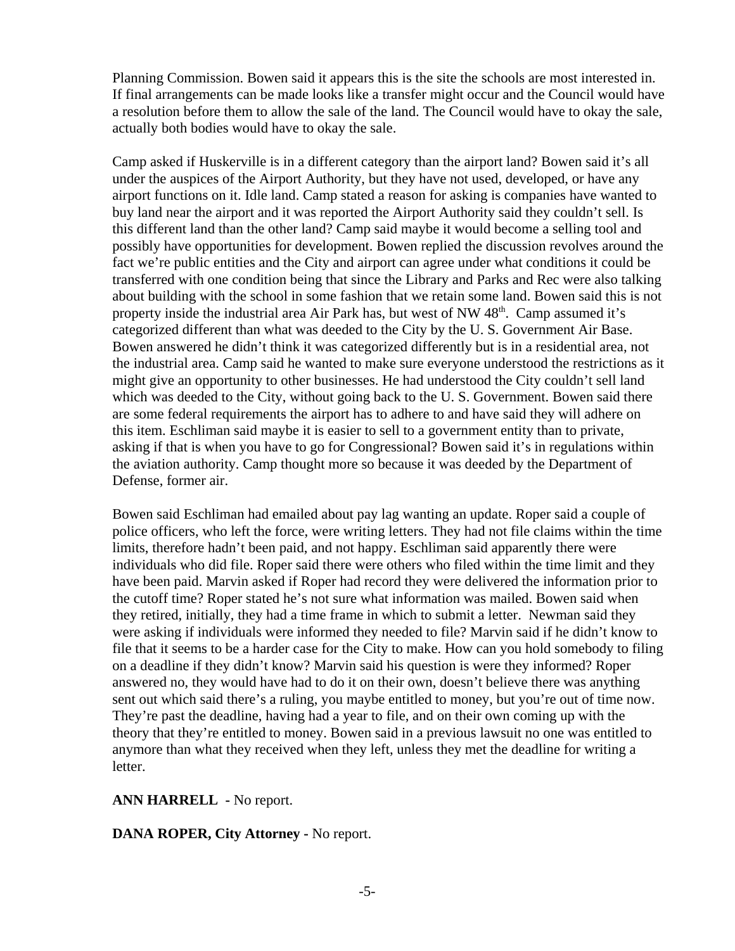Planning Commission. Bowen said it appears this is the site the schools are most interested in. If final arrangements can be made looks like a transfer might occur and the Council would have a resolution before them to allow the sale of the land. The Council would have to okay the sale, actually both bodies would have to okay the sale.

Camp asked if Huskerville is in a different category than the airport land? Bowen said it's all under the auspices of the Airport Authority, but they have not used, developed, or have any airport functions on it. Idle land. Camp stated a reason for asking is companies have wanted to buy land near the airport and it was reported the Airport Authority said they couldn't sell. Is this different land than the other land? Camp said maybe it would become a selling tool and possibly have opportunities for development. Bowen replied the discussion revolves around the fact we're public entities and the City and airport can agree under what conditions it could be transferred with one condition being that since the Library and Parks and Rec were also talking about building with the school in some fashion that we retain some land. Bowen said this is not property inside the industrial area Air Park has, but west of NW 48<sup>th</sup>. Camp assumed it's categorized different than what was deeded to the City by the U. S. Government Air Base. Bowen answered he didn't think it was categorized differently but is in a residential area, not the industrial area. Camp said he wanted to make sure everyone understood the restrictions as it might give an opportunity to other businesses. He had understood the City couldn't sell land which was deeded to the City, without going back to the U.S. Government. Bowen said there are some federal requirements the airport has to adhere to and have said they will adhere on this item. Eschliman said maybe it is easier to sell to a government entity than to private, asking if that is when you have to go for Congressional? Bowen said it's in regulations within the aviation authority. Camp thought more so because it was deeded by the Department of Defense, former air.

Bowen said Eschliman had emailed about pay lag wanting an update. Roper said a couple of police officers, who left the force, were writing letters. They had not file claims within the time limits, therefore hadn't been paid, and not happy. Eschliman said apparently there were individuals who did file. Roper said there were others who filed within the time limit and they have been paid. Marvin asked if Roper had record they were delivered the information prior to the cutoff time? Roper stated he's not sure what information was mailed. Bowen said when they retired, initially, they had a time frame in which to submit a letter. Newman said they were asking if individuals were informed they needed to file? Marvin said if he didn't know to file that it seems to be a harder case for the City to make. How can you hold somebody to filing on a deadline if they didn't know? Marvin said his question is were they informed? Roper answered no, they would have had to do it on their own, doesn't believe there was anything sent out which said there's a ruling, you maybe entitled to money, but you're out of time now. They're past the deadline, having had a year to file, and on their own coming up with the theory that they're entitled to money. Bowen said in a previous lawsuit no one was entitled to anymore than what they received when they left, unless they met the deadline for writing a letter.

#### **ANN HARRELL -** No report.

#### **DANA ROPER, City Attorney -** No report.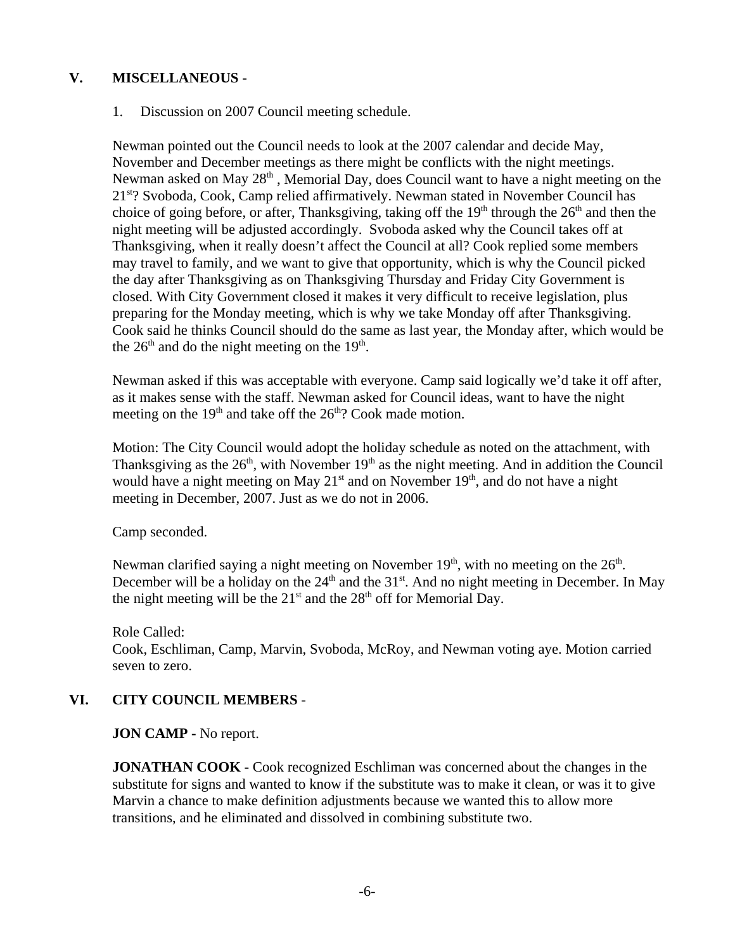### **V. MISCELLANEOUS -**

### 1. Discussion on 2007 Council meeting schedule.

Newman pointed out the Council needs to look at the 2007 calendar and decide May, November and December meetings as there might be conflicts with the night meetings. Newman asked on May  $28<sup>th</sup>$ , Memorial Day, does Council want to have a night meeting on the 21st? Svoboda, Cook, Camp relied affirmatively. Newman stated in November Council has choice of going before, or after, Thanksgiving, taking off the  $19<sup>th</sup>$  through the  $26<sup>th</sup>$  and then the night meeting will be adjusted accordingly. Svoboda asked why the Council takes off at Thanksgiving, when it really doesn't affect the Council at all? Cook replied some members may travel to family, and we want to give that opportunity, which is why the Council picked the day after Thanksgiving as on Thanksgiving Thursday and Friday City Government is closed. With City Government closed it makes it very difficult to receive legislation, plus preparing for the Monday meeting, which is why we take Monday off after Thanksgiving. Cook said he thinks Council should do the same as last year, the Monday after, which would be the  $26<sup>th</sup>$  and do the night meeting on the  $19<sup>th</sup>$ .

Newman asked if this was acceptable with everyone. Camp said logically we'd take it off after, as it makes sense with the staff. Newman asked for Council ideas, want to have the night meeting on the  $19<sup>th</sup>$  and take off the  $26<sup>th</sup>$ ? Cook made motion.

Motion: The City Council would adopt the holiday schedule as noted on the attachment, with Thanksgiving as the  $26<sup>th</sup>$ , with November  $19<sup>th</sup>$  as the night meeting. And in addition the Council would have a night meeting on May  $21<sup>st</sup>$  and on November  $19<sup>th</sup>$ , and do not have a night meeting in December, 2007. Just as we do not in 2006.

Camp seconded.

Newman clarified saying a night meeting on November  $19<sup>th</sup>$ , with no meeting on the  $26<sup>th</sup>$ . December will be a holiday on the  $24<sup>th</sup>$  and the 31<sup>st</sup>. And no night meeting in December. In May the night meeting will be the  $21<sup>st</sup>$  and the  $28<sup>th</sup>$  off for Memorial Day.

Role Called: Cook, Eschliman, Camp, Marvin, Svoboda, McRoy, and Newman voting aye. Motion carried seven to zero.

## **VI. CITY COUNCIL MEMBERS** -

**JON CAMP -** No report.

**JONATHAN COOK -** Cook recognized Eschliman was concerned about the changes in the substitute for signs and wanted to know if the substitute was to make it clean, or was it to give Marvin a chance to make definition adjustments because we wanted this to allow more transitions, and he eliminated and dissolved in combining substitute two.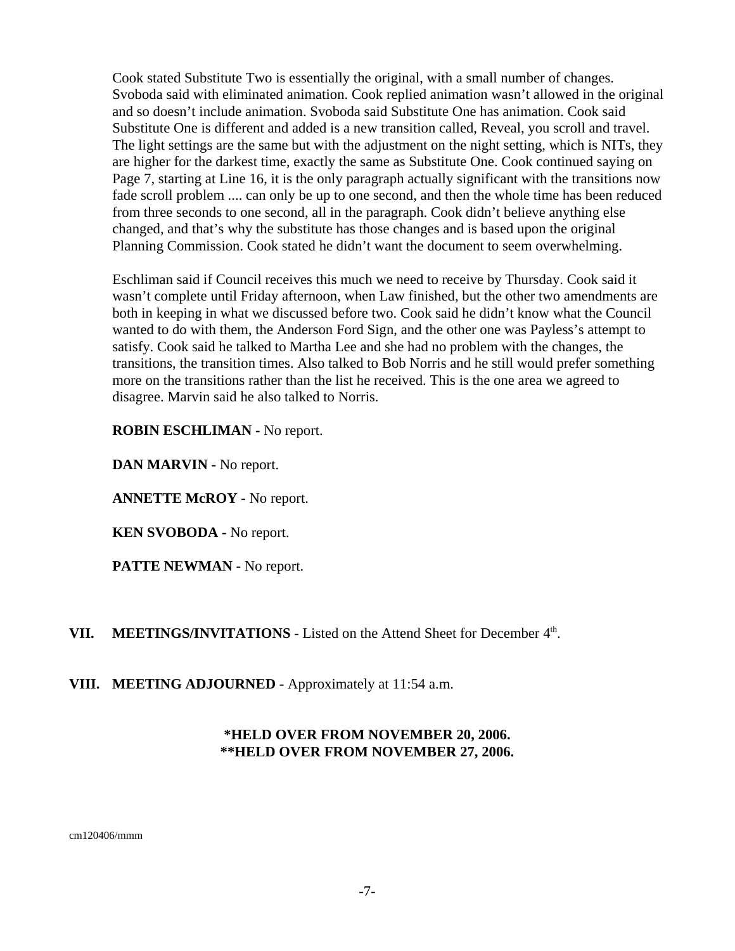Cook stated Substitute Two is essentially the original, with a small number of changes. Svoboda said with eliminated animation. Cook replied animation wasn't allowed in the original and so doesn't include animation. Svoboda said Substitute One has animation. Cook said Substitute One is different and added is a new transition called, Reveal, you scroll and travel. The light settings are the same but with the adjustment on the night setting, which is NITs, they are higher for the darkest time, exactly the same as Substitute One. Cook continued saying on Page 7, starting at Line 16, it is the only paragraph actually significant with the transitions now fade scroll problem .... can only be up to one second, and then the whole time has been reduced from three seconds to one second, all in the paragraph. Cook didn't believe anything else changed, and that's why the substitute has those changes and is based upon the original Planning Commission. Cook stated he didn't want the document to seem overwhelming.

Eschliman said if Council receives this much we need to receive by Thursday. Cook said it wasn't complete until Friday afternoon, when Law finished, but the other two amendments are both in keeping in what we discussed before two. Cook said he didn't know what the Council wanted to do with them, the Anderson Ford Sign, and the other one was Payless's attempt to satisfy. Cook said he talked to Martha Lee and she had no problem with the changes, the transitions, the transition times. Also talked to Bob Norris and he still would prefer something more on the transitions rather than the list he received. This is the one area we agreed to disagree. Marvin said he also talked to Norris.

**ROBIN ESCHLIMAN -** No report.

**DAN MARVIN -** No report.

**ANNETTE McROY -** No report.

**KEN SVOBODA -** No report.

**PATTE NEWMAN -** No report.

VII. MEETINGS/INVITATIONS - Listed on the Attend Sheet for December 4<sup>th</sup>.

**VIII. MEETING ADJOURNED - Approximately at 11:54 a.m.** 

## **\*HELD OVER FROM NOVEMBER 20, 2006. \*\*HELD OVER FROM NOVEMBER 27, 2006.**

cm120406/mmm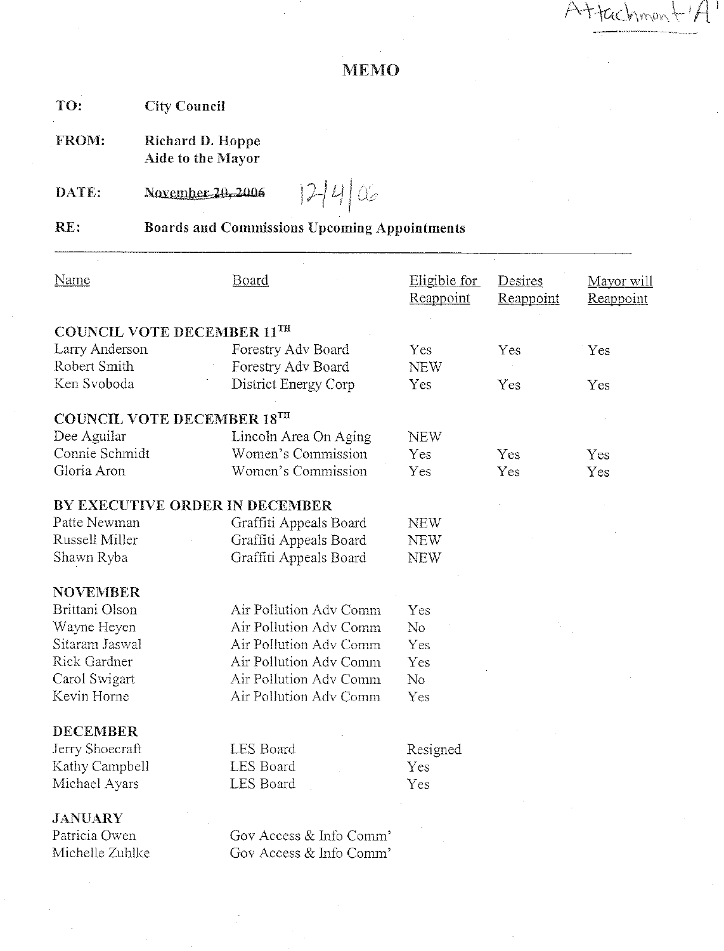$A + \text{tachmon} + A$ 

# **MEMO**

TO: **City Council** 

Richard D. Hoppe FROM: Aide to the Mayor

DATE: November 20, 2006

 $12440$ 

RE: **Boards and Commissions Upcoming Appointments** 

| <b>Name</b>                       | Board                   | Eligible for<br>Reappoint | Desires<br>Reappoint | Mayor will<br>Reappoint |
|-----------------------------------|-------------------------|---------------------------|----------------------|-------------------------|
| <b>COUNCIL VOTE DECEMBER 11TH</b> |                         |                           |                      |                         |
| Larry Anderson                    | Forestry Adv Board      | Yes                       | Yes                  | Yes                     |
| Robert Smith                      | Forestry Adv Board      | <b>NEW</b>                |                      |                         |
| Ken Svoboda                       | District Energy Corp    | Yes                       | Yes                  | Yes                     |
| <b>COUNCIL VOTE DECEMBER 18TH</b> |                         |                           |                      |                         |
| Dee Aguilar                       | Lincoln Area On Aging   | <b>NEW</b>                |                      |                         |
| Connie Schmidt                    | Women's Commission      | Yes                       | Yes                  | Yes                     |
| Gloria Aron                       | Women's Commission      | Yes                       | Yes                  | Yes                     |
| BY EXECUTIVE ORDER IN DECEMBER    |                         |                           |                      |                         |
| Patte Newman                      | Graffiti Appeals Board  | <b>NEW</b>                |                      |                         |
| Russell Miller                    | Graffiti Appeals Board  | NEW                       |                      |                         |
| Shawn Ryba                        | Graffiti Appeals Board  | <b>NEW</b>                |                      |                         |
| <b>NOVEMBER</b>                   |                         |                           |                      |                         |
| Brittani Olson                    | Air Pollution Adv Comm  | Yes                       |                      |                         |
| Wayne Heyen                       | Air Pollution Adv Comm  | N <sub>o</sub>            |                      |                         |
| Sitaram Jaswal                    | Air Pollution Adv Comm  | Yes                       |                      |                         |
| Rick Gardner                      | Air Pollution Adv Comm  | Yes                       |                      |                         |
| Carol Swigart                     | Air Pollution Adv Comm  | N <sub>o</sub>            |                      |                         |
| Kevin Horne                       | Air Pollution Adv Comm  | Yes                       |                      |                         |
| <b>DECEMBER</b>                   |                         |                           |                      |                         |
| Jerry Shoecraft                   | <b>LES Board</b>        | Resigned                  |                      |                         |
| Kathy Campbell                    | <b>LES</b> Board        | Yes                       |                      |                         |
| Michael Ayars                     | LES Board               | Yes                       |                      |                         |
| <b>JANUARY</b>                    |                         |                           |                      |                         |
| Patricia Owen                     | Gov Access & Info Comm' |                           |                      |                         |
| Michelle Zuhlke                   | Gov Access & Info Comm' |                           |                      |                         |